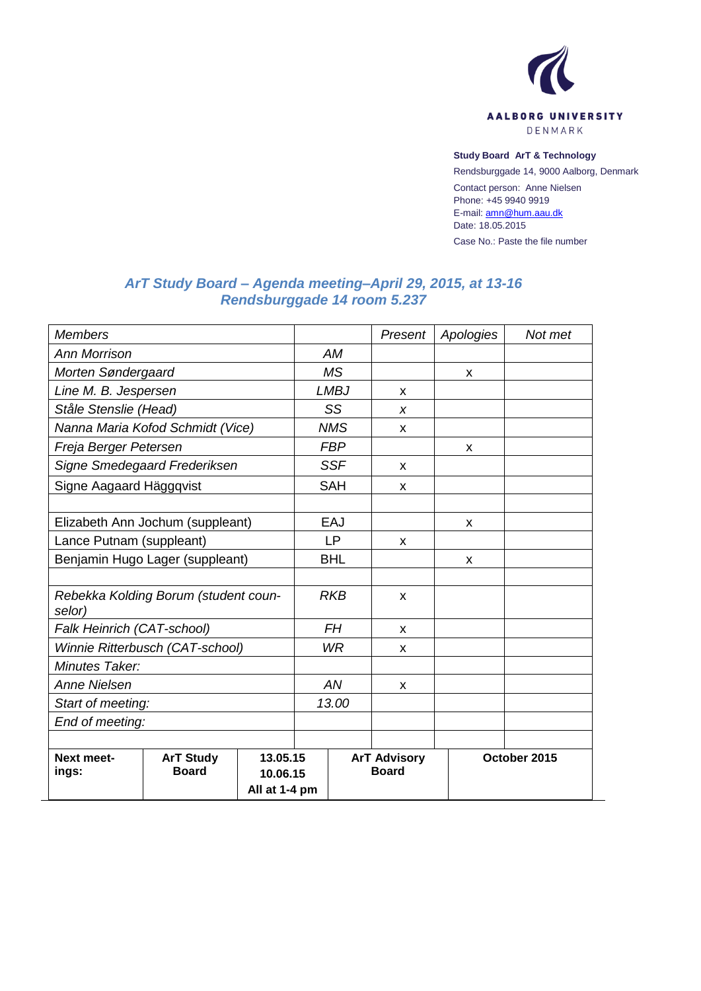

#### **Study Board ArT & Technology**

Rendsburggade 14, 9000 Aalborg, Denmark

Contact person: Anne Nielsen Phone: +45 9940 9919 E-mail[: amn@hum.aau.dk](mailto:amn@hum.aau.dk) Date: 18.05.2015

Case No.: Paste the file number

# *ArT Study Board – Agenda meeting–April 29, 2015, at 13-16 Rendsburggade 14 room 5.237*

| <b>Members</b>                                 |                                  |                                       |            |             | Present                             | Apologies | Not met      |  |
|------------------------------------------------|----------------------------------|---------------------------------------|------------|-------------|-------------------------------------|-----------|--------------|--|
| <b>Ann Morrison</b>                            |                                  |                                       | <b>AM</b>  |             |                                     |           |              |  |
| Morten Søndergaard                             |                                  |                                       | <b>MS</b>  |             |                                     | X         |              |  |
| Line M. B. Jespersen                           |                                  |                                       |            | <b>LMBJ</b> | X                                   |           |              |  |
| Ståle Stenslie (Head)                          |                                  |                                       | SS         |             | X                                   |           |              |  |
| Nanna Maria Kofod Schmidt (Vice)               |                                  |                                       | <b>NMS</b> |             | X                                   |           |              |  |
| Freja Berger Petersen                          |                                  |                                       | <b>FBP</b> |             |                                     | X         |              |  |
| Signe Smedegaard Frederiksen                   |                                  |                                       | <b>SSF</b> |             | X                                   |           |              |  |
| Signe Aagaard Häggqvist                        |                                  |                                       | <b>SAH</b> |             | X                                   |           |              |  |
|                                                |                                  |                                       |            |             |                                     |           |              |  |
| Elizabeth Ann Jochum (suppleant)               |                                  |                                       | EAJ        |             |                                     | X         |              |  |
| Lance Putnam (suppleant)                       |                                  |                                       | LP         |             | X                                   |           |              |  |
| Benjamin Hugo Lager (suppleant)                |                                  |                                       | <b>BHL</b> |             |                                     | X         |              |  |
|                                                |                                  |                                       |            |             |                                     |           |              |  |
| Rebekka Kolding Borum (student coun-<br>selor) |                                  |                                       |            | <b>RKB</b>  | X                                   |           |              |  |
| Falk Heinrich (CAT-school)                     |                                  |                                       | <b>FH</b>  |             | X                                   |           |              |  |
| Winnie Ritterbusch (CAT-school)                |                                  |                                       | <b>WR</b>  |             | X                                   |           |              |  |
| Minutes Taker:                                 |                                  |                                       |            |             |                                     |           |              |  |
| <b>Anne Nielsen</b>                            |                                  |                                       | AN         |             | X                                   |           |              |  |
| Start of meeting:                              |                                  |                                       | 13.00      |             |                                     |           |              |  |
| End of meeting:                                |                                  |                                       |            |             |                                     |           |              |  |
|                                                |                                  |                                       |            |             |                                     |           |              |  |
| <b>Next meet-</b><br>ings:                     | <b>ArT Study</b><br><b>Board</b> | 13.05.15<br>10.06.15<br>All at 1-4 pm |            |             | <b>ArT Advisory</b><br><b>Board</b> |           | October 2015 |  |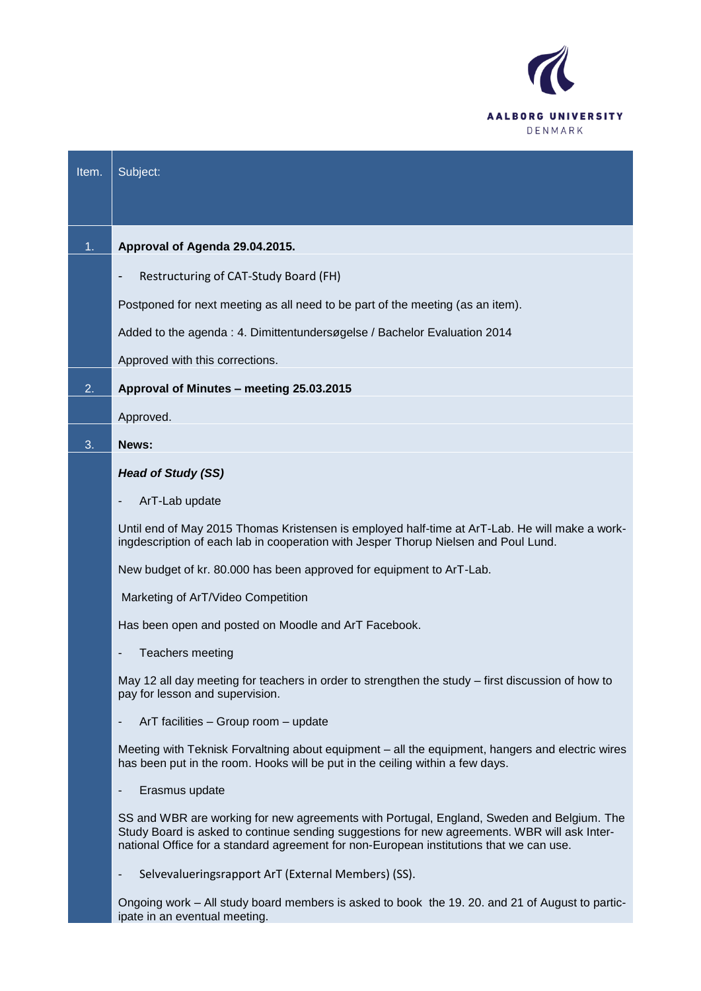

| Item. | Subject:                                                                                                                                                                                                                                                                             |
|-------|--------------------------------------------------------------------------------------------------------------------------------------------------------------------------------------------------------------------------------------------------------------------------------------|
|       |                                                                                                                                                                                                                                                                                      |
| 1.    | Approval of Agenda 29.04.2015.                                                                                                                                                                                                                                                       |
|       | Restructuring of CAT-Study Board (FH)                                                                                                                                                                                                                                                |
|       | Postponed for next meeting as all need to be part of the meeting (as an item).                                                                                                                                                                                                       |
|       | Added to the agenda: 4. Dimittentundersøgelse / Bachelor Evaluation 2014                                                                                                                                                                                                             |
|       | Approved with this corrections.                                                                                                                                                                                                                                                      |
| 2.    | Approval of Minutes - meeting 25.03.2015                                                                                                                                                                                                                                             |
|       | Approved.                                                                                                                                                                                                                                                                            |
| 3.    | News:                                                                                                                                                                                                                                                                                |
|       | <b>Head of Study (SS)</b>                                                                                                                                                                                                                                                            |
|       | ArT-Lab update                                                                                                                                                                                                                                                                       |
|       | Until end of May 2015 Thomas Kristensen is employed half-time at ArT-Lab. He will make a work-<br>ingdescription of each lab in cooperation with Jesper Thorup Nielsen and Poul Lund.                                                                                                |
|       | New budget of kr. 80.000 has been approved for equipment to ArT-Lab.                                                                                                                                                                                                                 |
|       | Marketing of ArT/Video Competition                                                                                                                                                                                                                                                   |
|       | Has been open and posted on Moodle and ArT Facebook.                                                                                                                                                                                                                                 |
|       | Teachers meeting                                                                                                                                                                                                                                                                     |
|       | May 12 all day meeting for teachers in order to strengthen the study – first discussion of how to<br>pay for lesson and supervision.                                                                                                                                                 |
|       | ArT facilities - Group room - update<br>$\qquad \qquad \blacksquare$                                                                                                                                                                                                                 |
|       | Meeting with Teknisk Forvaltning about equipment – all the equipment, hangers and electric wires<br>has been put in the room. Hooks will be put in the ceiling within a few days.                                                                                                    |
|       | Erasmus update                                                                                                                                                                                                                                                                       |
|       | SS and WBR are working for new agreements with Portugal, England, Sweden and Belgium. The<br>Study Board is asked to continue sending suggestions for new agreements. WBR will ask Inter-<br>national Office for a standard agreement for non-European institutions that we can use. |
|       | Selvevalueringsrapport ArT (External Members) (SS).<br>$\overline{\phantom{a}}$                                                                                                                                                                                                      |

Ongoing work – All study board members is asked to book the 19. 20. and 21 of August to participate in an eventual meeting.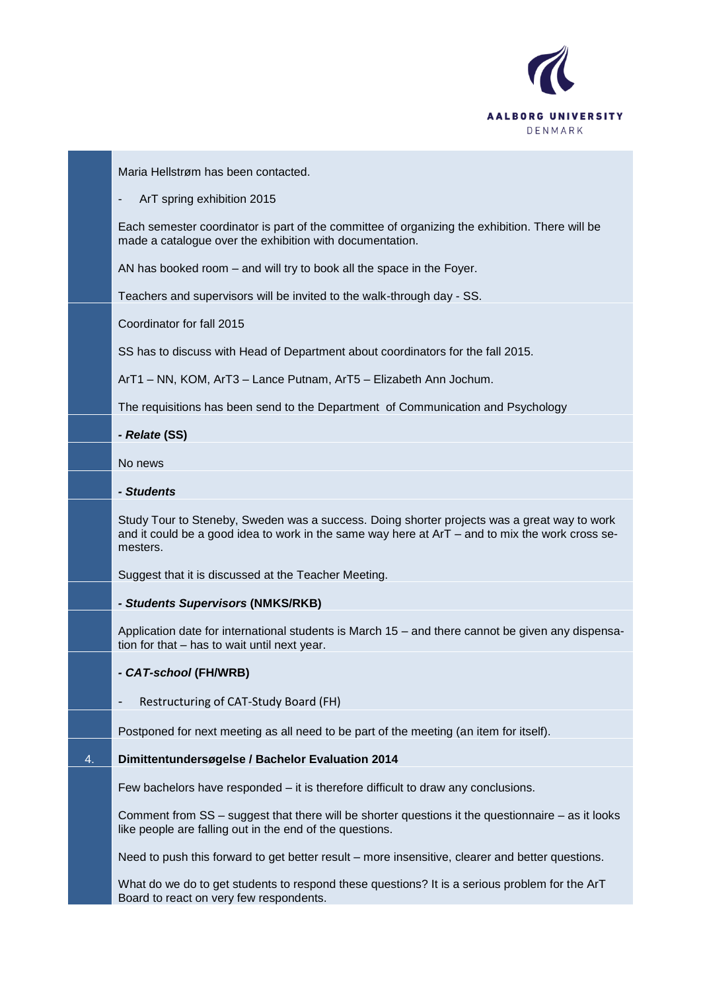

Maria Hellstrøm has been contacted.

#### ArT spring exhibition 2015

Each semester coordinator is part of the committee of organizing the exhibition. There will be made a catalogue over the exhibition with documentation.

AN has booked room – and will try to book all the space in the Foyer.

Teachers and supervisors will be invited to the walk-through day - SS.

Coordinator for fall 2015

SS has to discuss with Head of Department about coordinators for the fall 2015.

ArT1 – NN, KOM, ArT3 – Lance Putnam, ArT5 – Elizabeth Ann Jochum.

The requisitions has been send to the Department of Communication and Psychology

*- Relate* **(SS)**

No news

#### *- Students*

Study Tour to Steneby, Sweden was a success. Doing shorter projects was a great way to work and it could be a good idea to work in the same way here at ArT – and to mix the work cross semesters.

Suggest that it is discussed at the Teacher Meeting.

# *- Students Supervisors* **(NMKS/RKB)**

Application date for international students is March 15 – and there cannot be given any dispensation for that – has to wait until next year.

# *- CAT-school* **(FH/WRB)**

# Restructuring of CAT-Study Board (FH)

Postponed for next meeting as all need to be part of the meeting (an item for itself).

# 4. **Dimittentundersøgelse / Bachelor Evaluation 2014**

Few bachelors have responded – it is therefore difficult to draw any conclusions.

Comment from SS – suggest that there will be shorter questions it the questionnaire – as it looks like people are falling out in the end of the questions.

Need to push this forward to get better result – more insensitive, clearer and better questions.

What do we do to get students to respond these questions? It is a serious problem for the ArT Board to react on very few respondents.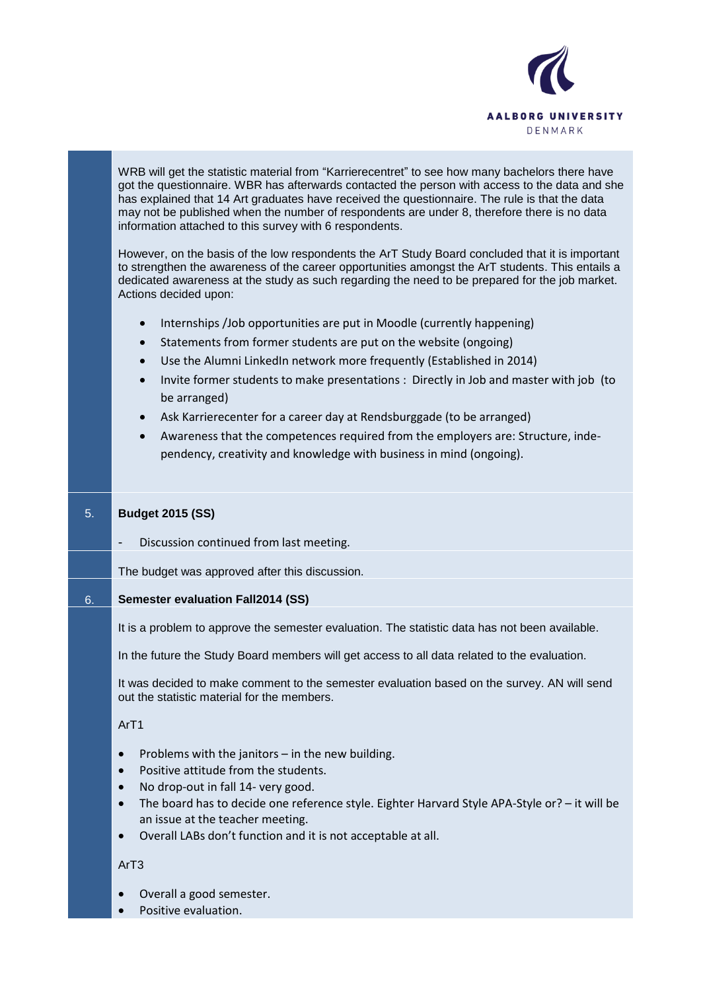

WRB will get the statistic material from "Karrierecentret" to see how many bachelors there have got the questionnaire. WBR has afterwards contacted the person with access to the data and she has explained that 14 Art graduates have received the questionnaire. The rule is that the data may not be published when the number of respondents are under 8, therefore there is no data information attached to this survey with 6 respondents.

However, on the basis of the low respondents the ArT Study Board concluded that it is important to strengthen the awareness of the career opportunities amongst the ArT students. This entails a dedicated awareness at the study as such regarding the need to be prepared for the job market. Actions decided upon:

- Internships /Job opportunities are put in Moodle (currently happening)
- Statements from former students are put on the website (ongoing)
- Use the Alumni LinkedIn network more frequently (Established in 2014)
- Invite former students to make presentations : Directly in Job and master with job (to be arranged)
- Ask Karrierecenter for a career day at Rendsburggade (to be arranged)
- Awareness that the competences required from the employers are: Structure, independency, creativity and knowledge with business in mind (ongoing).

# 5. **Budget 2015 (SS)**

Discussion continued from last meeting.

The budget was approved after this discussion.

# 6. **Semester evaluation Fall2014 (SS)**

It is a problem to approve the semester evaluation. The statistic data has not been available.

In the future the Study Board members will get access to all data related to the evaluation.

It was decided to make comment to the semester evaluation based on the survey. AN will send out the statistic material for the members.

# ArT1

- Problems with the janitors in the new building.
- Positive attitude from the students.
- No drop-out in fall 14- very good.
- The board has to decide one reference style. Eighter Harvard Style APA-Style or? it will be an issue at the teacher meeting.
- Overall LABs don't function and it is not acceptable at all.

# ArT3

- Overall a good semester.
- Positive evaluation.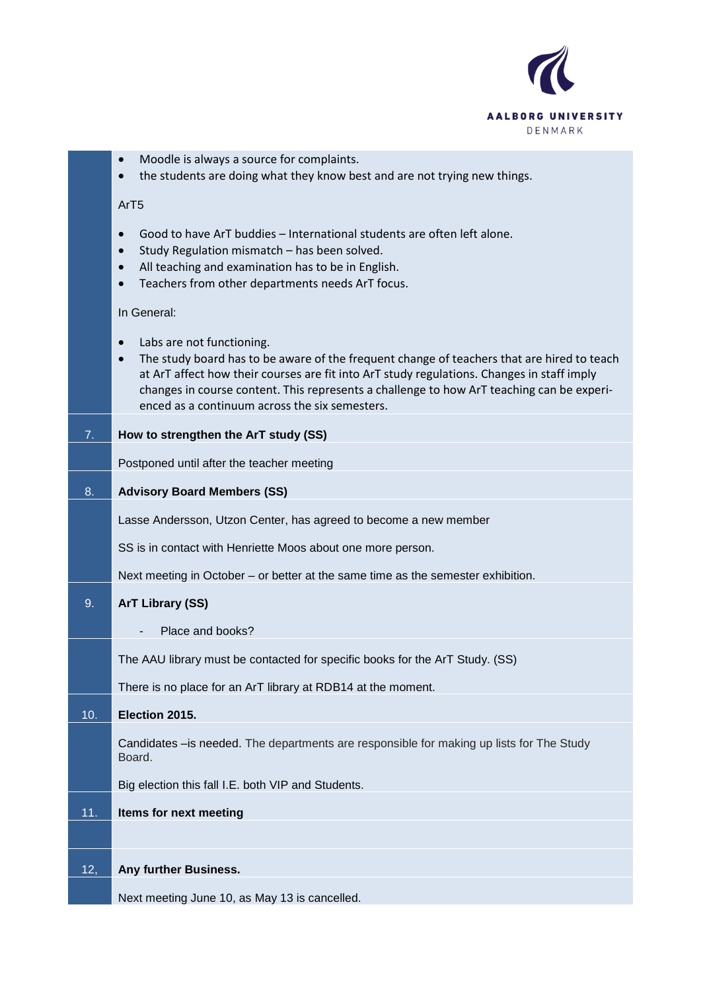

- Moodle is always a source for complaints.
- the students are doing what they know best and are not trying new things.

#### ArT5

- Good to have ArT buddies International students are often left alone.
- Study Regulation mismatch has been solved.
- All teaching and examination has to be in English.
- Teachers from other departments needs ArT focus.

#### In General:

- Labs are not functioning.
- The study board has to be aware of the frequent change of teachers that are hired to teach at ArT affect how their courses are fit into ArT study regulations. Changes in staff imply changes in course content. This represents a challenge to how ArT teaching can be experienced as a continuum across the six semesters.

# 7. **How to strengthen the ArT study (SS)**

Postponed until after the teacher meeting

#### 8. **Advisory Board Members (SS)**

Lasse Andersson, Utzon Center, has agreed to become a new member

SS is in contact with Henriette Moos about one more person.

Next meeting in October – or better at the same time as the semester exhibition.

# 9. **ArT Library (SS)**

Place and books?

The AAU library must be contacted for specific books for the ArT Study. (SS)

There is no place for an ArT library at RDB14 at the moment.

# 10. **Election 2015.** Candidates –is needed. The departments are responsible for making up lists for The Study Board. Big election this fall I.E. both VIP and Students. 11. **Items for next meeting**  12, **Any further Business.**

Next meeting June 10, as May 13 is cancelled.